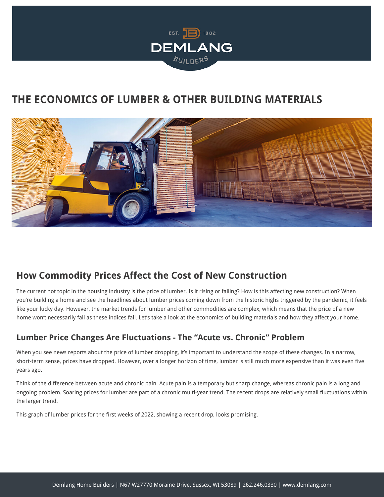

# **THE ECONOMICS OF LUMBER & OTHER BUILDING MATERIALS**



## **How Commodity Prices Affect the Cost of New Construction**

The current hot topic in the housing industry is the price of lumber. Is it rising or falling? How is this affecting new construction? When you're building a home and see the headlines about lumber prices coming down from the historic highs triggered by the pandemic, it feels like your lucky day. However, the market trends for lumber and other commodities are complex, which means that the price of a new home won't necessarily fall as these indices fall. Let's take a look at the economics of building materials and how they affect your home.

### **Lumber Price Changes Are Fluctuations - The "Acute vs. Chronic" Problem**

When you see news reports about the price of lumber dropping, it's important to understand the scope of these changes. In a narrow, short-term sense, prices have dropped. However, over a longer horizon of time, lumber is still much more expensive than it was even five years ago.

Think of the difference between acute and chronic pain. Acute pain is a temporary but sharp change, whereas chronic pain is a long and ongoing problem. Soaring prices for lumber are part of a chronic multi-year trend. The recent drops are relatively small fluctuations within the larger trend.

This graph of lumber prices for the first weeks of 2022, showing a recent drop, looks promising.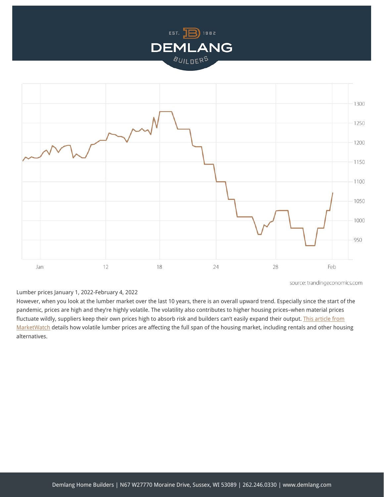



Lumber prices January 1, 2022-February 4, 2022

However, when you look at the lumber market over the last 10 years, there is an overall upward trend. Especially since the start of the pandemic, prices are high and they're highly volatile. The volatility also contributes to higher housing prices–when material prices fluctuate wildly, suppliers keep their own prices high to absorb risk and builders can't easily expand their output. [This article from](https://www.marketwatch.com/story/volatility-of-lumber-prices-hits-high-not-seen-since-end-of-world-war-ii-why-home-buyers-should-be-concerned-11642784941) [MarketWatch](https://www.marketwatch.com/story/volatility-of-lumber-prices-hits-high-not-seen-since-end-of-world-war-ii-why-home-buyers-should-be-concerned-11642784941) details how volatile lumber prices are affecting the full span of the housing market, including rentals and other housing alternatives.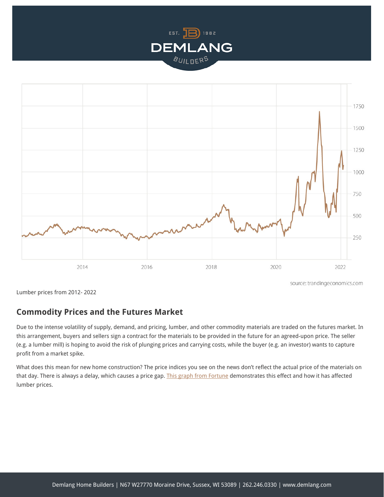



source: trandingeconomics.com

Lumber prices from 2012- 2022

#### **Commodity Prices and the Futures Market**

Due to the intense volatility of supply, demand, and pricing, lumber, and other commodity materials are traded on the futures market. In this arrangement, buyers and sellers sign a contract for the materials to be provided in the future for an agreed-upon price. The seller (e.g. a lumber mill) is hoping to avoid the risk of plunging prices and carrying costs, while the buyer (e.g. an investor) wants to capture profit from a market spike.

What does this mean for new home construction? The price indices you see on the news don't reflect the actual price of the materials on that day. There is always a delay, which causes a price gap. [This graph from Fortune](https://fortune.com/2022/01/12/lumber-prices-skyrocket-again-weather-sawmill-production-supply-chain/) demonstrates this effect and how it has affected lumber prices.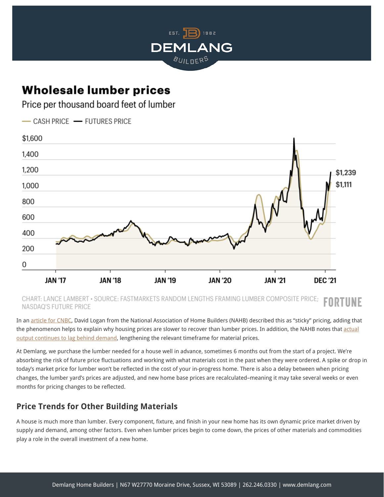

\$1.239 \$1.111

**DEC '21** 

# **Wholesale lumber prices**

Price per thousand board feet of lumber



**JAN '19** 

CHART: LANCE LAMBERT • SOURCE: FASTMARKETS RANDOM LENGTHS FRAMING LUMBER COMPOSITE PRICE; FORTUNE NASDAQ'S FUTURE PRICE

**JAN '20** 

**JAN '21** 

In an [article for CNBC,](https://www.cnbc.com/2021/07/19/why-homebuyers-arent-seeing-savings-from-falling-lumber-prices.html) David Logan from the National Association of Home Builders (NAHB) described this as "sticky" pricing, adding that the phenomenon helps to explain why housing prices are slower to recover than lumber prices. In addition, the NAHB notes that [actual](https://nahbnow.com/2022/01/domestic-sawmill-output-continues-to-lag-home-construction/) [output continues to lag behind demand](https://nahbnow.com/2022/01/domestic-sawmill-output-continues-to-lag-home-construction/), lengthening the relevant timeframe for material prices.

At Demlang, we purchase the lumber needed for a house well in advance, sometimes 6 months out from the start of a project. We're absorbing the risk of future price fluctuations and working with what materials cost in the past when they were ordered. A spike or drop in today's market price for lumber won't be reflected in the cost of your in-progress home. There is also a delay between when pricing changes, the lumber yard's prices are adjusted, and new home base prices are recalculated–meaning it may take several weeks or even months for pricing changes to be reflected.

## **Price Trends for Other Building Materials**

**JAN '18** 

**JAN '17** 

A house is much more than lumber. Every component, fixture, and finish in your new home has its own dynamic price market driven by supply and demand, among other factors. Even when lumber prices begin to come down, the prices of other materials and commodities play a role in the overall investment of a new home.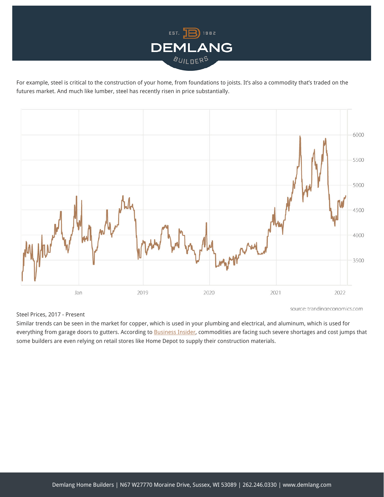

For example, steel is critical to the construction of your home, from foundations to joists. It's also a commodity that's traded on the futures market. And much like lumber, steel has recently risen in price substantially.



#### Steel Prices, 2017 - Present

source: trandingeconomics.com

Similar trends can be seen in the market for copper, which is used in your plumbing and electrical, and aluminum, which is used for everything from garage doors to gutters. According to [Business Insider,](https://www.businessinsider.com/home-construction-materials-shortage-supply-chain-home-depot-congress-2022-1) commodities are facing such severe shortages and cost jumps that some builders are even relying on retail stores like Home Depot to supply their construction materials.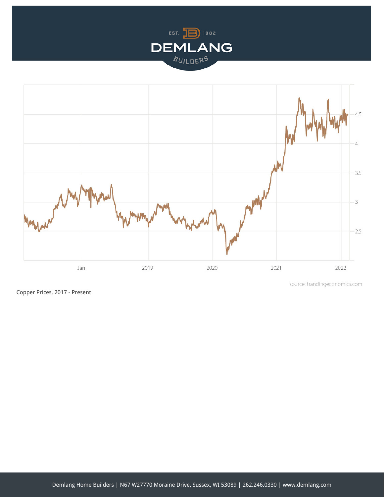



Copper Prices, 2017 - Present